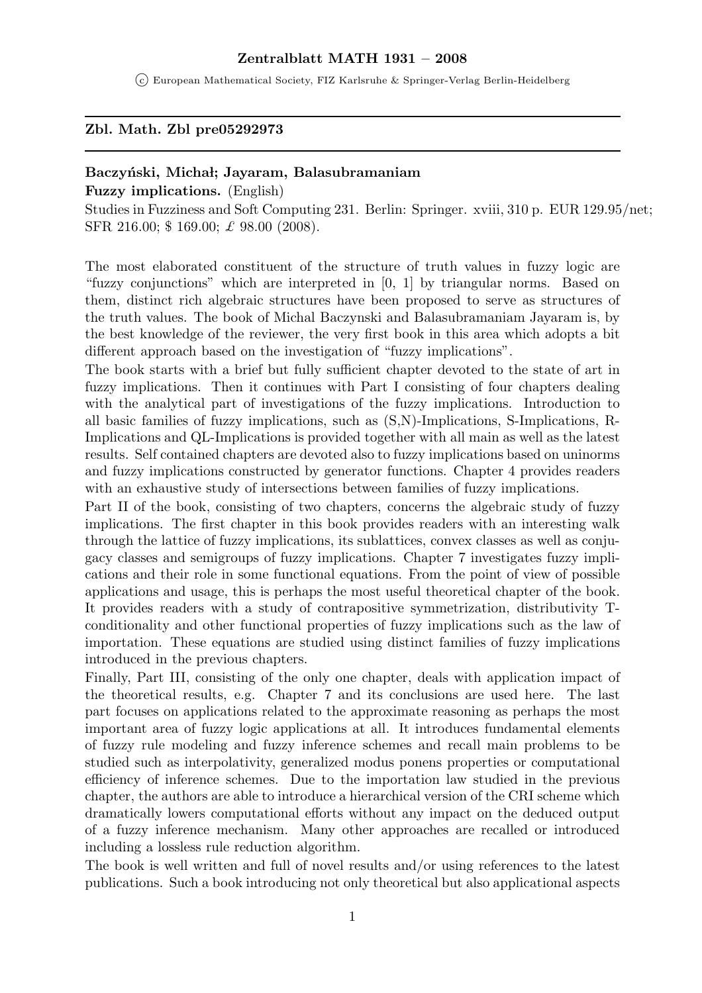### Zentralblatt MATH 1931 – 2008

<sup>c</sup> European Mathematical Society, FIZ Karlsruhe & Springer-Verlag Berlin-Heidelberg

#### Zbl. Math. Zbl pre05292973

#### Baczyński, Michał; Jayaram, Balasubramaniam

Fuzzy implications. (English)

Studies in Fuzziness and Soft Computing 231. Berlin: Springer. xviii, 310 p. EUR 129.95/net; SFR 216.00; \$ 169.00; £ 98.00 (2008).

The most elaborated constituent of the structure of truth values in fuzzy logic are "fuzzy conjunctions" which are interpreted in [0, 1] by triangular norms. Based on them, distinct rich algebraic structures have been proposed to serve as structures of the truth values. The book of Michal Baczynski and Balasubramaniam Jayaram is, by the best knowledge of the reviewer, the very first book in this area which adopts a bit different approach based on the investigation of "fuzzy implications".

The book starts with a brief but fully sufficient chapter devoted to the state of art in fuzzy implications. Then it continues with Part I consisting of four chapters dealing with the analytical part of investigations of the fuzzy implications. Introduction to all basic families of fuzzy implications, such as (S,N)-Implications, S-Implications, R-Implications and QL-Implications is provided together with all main as well as the latest results. Self contained chapters are devoted also to fuzzy implications based on uninorms and fuzzy implications constructed by generator functions. Chapter 4 provides readers with an exhaustive study of intersections between families of fuzzy implications.

Part II of the book, consisting of two chapters, concerns the algebraic study of fuzzy implications. The first chapter in this book provides readers with an interesting walk through the lattice of fuzzy implications, its sublattices, convex classes as well as conjugacy classes and semigroups of fuzzy implications. Chapter 7 investigates fuzzy implications and their role in some functional equations. From the point of view of possible applications and usage, this is perhaps the most useful theoretical chapter of the book. It provides readers with a study of contrapositive symmetrization, distributivity Tconditionality and other functional properties of fuzzy implications such as the law of importation. These equations are studied using distinct families of fuzzy implications introduced in the previous chapters.

Finally, Part III, consisting of the only one chapter, deals with application impact of the theoretical results, e.g. Chapter 7 and its conclusions are used here. The last part focuses on applications related to the approximate reasoning as perhaps the most important area of fuzzy logic applications at all. It introduces fundamental elements of fuzzy rule modeling and fuzzy inference schemes and recall main problems to be studied such as interpolativity, generalized modus ponens properties or computational efficiency of inference schemes. Due to the importation law studied in the previous chapter, the authors are able to introduce a hierarchical version of the CRI scheme which dramatically lowers computational efforts without any impact on the deduced output of a fuzzy inference mechanism. Many other approaches are recalled or introduced including a lossless rule reduction algorithm.

The book is well written and full of novel results and/or using references to the latest publications. Such a book introducing not only theoretical but also applicational aspects